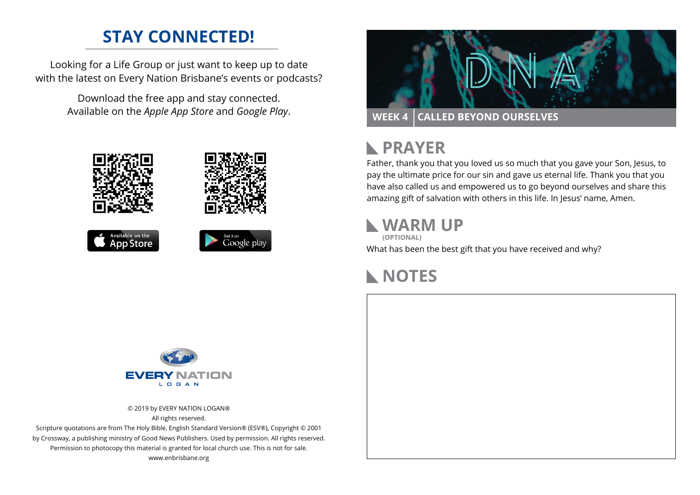### **STAY CONNECTED!**

Looking for a Life Group or just want to keep up to date with the latest on Every Nation Brisbane's events or podcasts?

Download the free app and stay connected.











#### **PRAYER**  $\mathbf{L}$

Father, thank you that you loved us so much that you gave your Son, Jesus, to pay the ultimate price for our sin and gave us eternal life. Thank you that you have also called us and empowered us to go beyond ourselves and share this amazing gift of salvation with others in this life. In Jesus' name, Amen.

#### **WARM UP**

**(OPTIONAL)**

What has been the best gift that you have received and why?

#### **NOTES**



© 2019 by EVERY NATION LOGAN® All rights reserved.

Scripture quotations are from The Holy Bible, English Standard Version® (ESV®), Copyright © 2001 by Crossway, a publishing ministry of Good News Publishers. Used by permission. All rights reserved. Permission to photocopy this material is granted for local church use. This is not for sale. www.enbrisbane.org